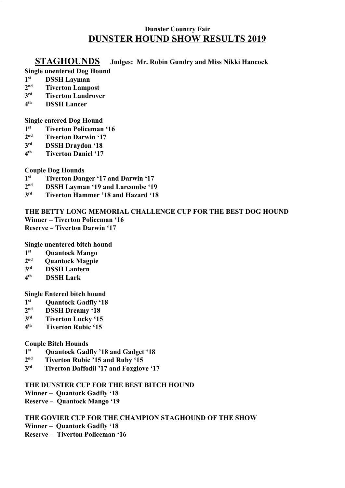# **Dunster Country Fair DUNSTER HOUND SHOW RESULTS 2019**

## **STAGHOUNDS Judges: Mr. Robin Gundry and Miss Nikki Hancock**

# **Single unentered Dog Hound**

- **1 DSSH Layman**
- **2 Tiverton Lampost**
- **3 Tiverton Landrover**
- **4 th DSSH Lancer**

### **Single entered Dog Hound**

- **1 st Tiverton Policeman '16**
- **2 nd Tiverton Darwin '17**
- **3 DSSH Draydon '18**
- **4 th Tiverton Daniel '17**

## **Couple Dog Hounds**

- **1 st Tiverton Danger '17 and Darwin '17**
- $2<sub>n</sub>$ d **DSSH Layman '19 and Larcombe '19**
- **3 rd Tiverton Hammer '18 and Hazard '18**

**THE BETTY LONG MEMORIAL CHALLENGE CUP FOR THE BEST DOG HOUND Winner – Tiverton Policeman '16 Reserve – Tiverton Darwin '17**

**Single unentered bitch hound**

- **1 st Quantock Mango**
- **2 nd Quantock Magpie**
- **3 DSSH Lantern**
- **4 th DSSH Lark**

**Single Entered bitch hound**

- **1 st Quantock Gadfly '18**
- **2 DSSH Dreamy '18**
- **3 Tiverton Lucky '15**
- **4 th Tiverton Rubic '15**

## **Couple Bitch Hounds**

- **1 st Quantock Gadfly '18 and Gadget '18**
- **2 nd Tiverton Rubic '15 and Ruby '15**
- **3 rd Tiverton Daffodil '17 and Foxglove '17**

## **THE DUNSTER CUP FOR THE BEST BITCH HOUND**

**Winner – Quantock Gadfly '18**

**Reserve – Quantock Mango '19**

# **THE GOVIER CUP FOR THE CHAMPION STAGHOUND OF THE SHOW**

**Winner – Quantock Gadfly '18**

**Reserve – Tiverton Policeman '16**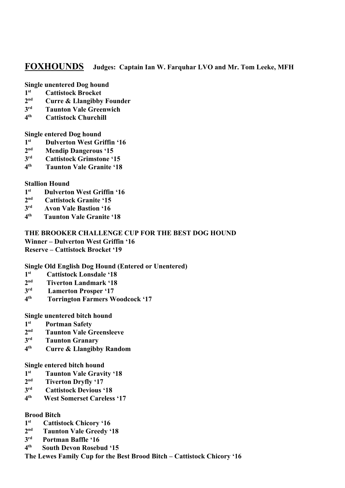## **FOXHOUNDS Judges: Captain Ian W. Farquhar LVO and Mr. Tom Leeke, MFH**

**Single unentered Dog hound**

- **1 st Cattistock Brocket**
- $2<sup>nd</sup>$ **Curre & Llangibby Founder**
- **3 Taunton Vale Greenwich**
- **4 th Cattistock Churchill**

**Single entered Dog hound**

- **1 st Dulverton West Griffin '16**
- $2<sub>n</sub>$ d **Mendip Dangerous '15**
- **3 Cattistock Grimstone '15**
- **4 th Taunton Vale Granite '18**

#### **Stallion Hound**

- **1 st Dulverton West Griffin '16**
- **2 nd Cattistock Granite '15**
- **3 rd Avon Vale Bastion '16**
- **4 th Taunton Vale Granite '18**

# **THE BROOKER CHALLENGE CUP FOR THE BEST DOG HOUND**

**Winner – Dulverton West Griffin '16**

**Reserve – Cattistock Brocket '19**

#### **Single Old English Dog Hound (Entered or Unentered)**

- **1 st Cattistock Lonsdale '18**
- **2 nd Tiverton Landmark '18**
- **3 rd Lamerton Prosper '17**
- **4 th Torrington Farmers Woodcock '17**

#### **Single unentered bitch hound**

- **1 st Portman Safety**
- **2 Taunton Vale Greensleeve**
- **3 Taunton Granary**
- **4 th Curre & Llangibby Random**

**Single entered bitch hound**

- **1 st Taunton Vale Gravity '18**
- **2 nd Tiverton Dryfly '17**
- **3 Cattistock Devious '18**
- **4 th West Somerset Careless '17**

#### **Brood Bitch**

- **1 st Cattistock Chicory '16**
- **2 nd Taunton Vale Greedy '18**
- **3 rd Portman Baffle '16**
- **4 th South Devon Rosebud '15**

**The Lewes Family Cup for the Best Brood Bitch – Cattistock Chicory '16**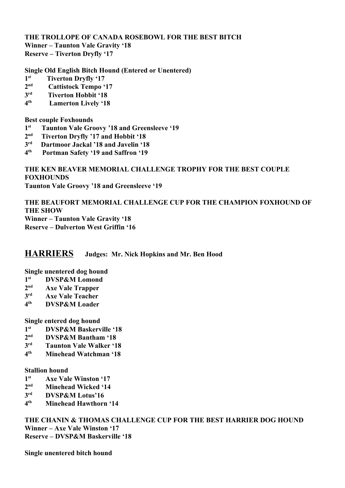**THE TROLLOPE OF CANADA ROSEBOWL FOR THE BEST BITCH Winner – Taunton Vale Gravity '18 Reserve – Tiverton Dryfly '17**

**Single Old English Bitch Hound (Entered or Unentered)**

- **1 st Tiverton Dryfly '17**
- **2 nd Cattistock Tempo '17**
- **3 rd Tiverton Hobbit '18**
- **4 th Lamerton Lively '18**

**Best couple Foxhounds**

- **1 st Taunton Vale Groovy '18 and Greensleeve '19**
- **2 nd Tiverton Dryfly '17 and Hobbit '18**
- **3 rd Dartmoor Jackal '18 and Javelin '18**
- **4 th Portman Safety '19 and Saffron '19**

## **THE KEN BEAVER MEMORIAL CHALLENGE TROPHY FOR THE BEST COUPLE FOXHOUNDS Taunton Vale Groovy '18 and Greensleeve '19**

**THE BEAUFORT MEMORIAL CHALLENGE CUP FOR THE CHAMPION FOXHOUND OF THE SHOW Winner – Taunton Vale Gravity '18 Reserve – Dulverton West Griffin '16**

## **HARRIERS Judges: Mr. Nick Hopkins and Mr. Ben Hood**

#### **Single unentered dog hound**

- **1 st DVSP&M Lomond**
- **2 nd Axe Vale Trapper**
- **3 Axe Vale Teacher**
- **4 th DVSP&M Loader**

#### **Single entered dog hound**

- **1 st DVSP&M Baskerville '18**
- **2 nd DVSP&M Bantham '18**
- **3 Taunton Vale Walker '18**
- **4 th Minehead Watchman '18**

### **Stallion hound**

- **1 st Axe Vale Winston '17**
- **2 Minehead Wicked '14**
- **3 rd DVSP&M Lotus'16**
- **4 th Minehead Hawthorn '14**

**THE CHANIN & THOMAS CHALLENGE CUP FOR THE BEST HARRIER DOG HOUND Winner – Axe Vale Winston '17 Reserve – DVSP&M Baskerville '18**

**Single unentered bitch hound**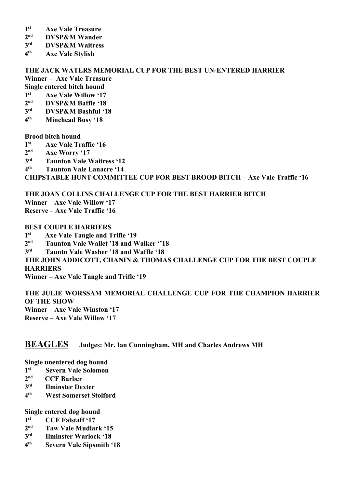- **1 st Axe Vale Treasure**
- $2<sup>nd</sup>$ **DVSP&M Wander**
- **3 DVSP&M Waitress**
- **4 th Axe Vale Stylish**

# **THE JACK WATERS MEMORIAL CUP FOR THE BEST UN-ENTERED HARRIER**

**Winner – Axe Vale Treasure**

**Single entered bitch hound 1 st Axe Vale Willow '17**

- $2<sub>n</sub>$ d **DVSP&M Baffle '18**
- **3 rd DVSP&M Bashful '18**
- **4 th Minehead Busy '18**

**Brood bitch hound**

- **1 st Axe Vale Traffic '16**
- **2 nd Axe Worry '17**
- **3 Taunton Vale Waitress '12**
- **4 th Taunton Vale Lanacre '14**

**CHIPSTABLE HUNT COMMITTEE CUP FOR BEST BROOD BITCH – Axe Vale Traffic '16**

**THE JOAN COLLINS CHALLENGE CUP FOR THE BEST HARRIER BITCH Winner – Axe Vale Willow '17**

**Reserve – Axe Vale Traffic '16**

#### **BEST COUPLE HARRIERS**

**1 st Axe Vale Tangle and Trifle '19**

 $2<sub>n</sub>$ d **nd Taunton Vale Wallet '18 and Walker ''18**

**3 rd Tauntn Vale Washer '18 and Waffle '18**

**THE JOHN ADDICOTT, CHANIN & THOMAS CHALLENGE CUP FOR THE BEST COUPLE HARRIERS**

**Winner – Axe Vale Tangle and Trifle '19**

**THE JULIE WORSSAM MEMORIAL CHALLENGE CUP FOR THE CHAMPION HARRIER OF THE SHOW Winner – Axe Vale Winston '17 Reserve – Axe Vale Willow '17**

# **BEAGLES Judges: Mr. Ian Cunningham, MH and Charles Andrews MH**

**Single unentered dog hound**

- **1 st Severn Vale Solomon**
- **2 nd CCF Barber**
- **3 Ilminster Dexter**
- **4 th West Somerset Stolford**

**Single entered dog hound**

- **1 st CCF Falstaff '17**
- $2<sup>nd</sup>$ **nd Taw Vale Mudlark '15**
- **3 Ilminster Warlock '18**
- **4 th Severn Vale Sipsmith '18**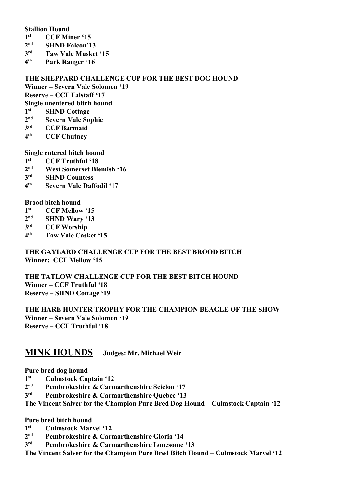#### **Stallion Hound**

- **1 st CCF Miner '15**
- **2 SHND Falcon'13**
- **3 Taw Vale Musket '15**
- **4 th Park Ranger '16**

#### **THE SHEPPARD CHALLENGE CUP FOR THE BEST DOG HOUND**

**Winner – Severn Vale Solomon '19**

**Reserve – CCF Falstaff '17**

**Single unentered bitch hound**

- **1 st SHND Cottage**
- $2<sup>nd</sup>$ **Severn Vale Sophie**
- **3 CCF Barmaid**
- **4 CCF Chutney**

**Single entered bitch hound**

- **1 st CCF Truthful '18**
- **2 West Somerset Blemish '16**
- **3 SHND Countess**
- **4 th Severn Vale Daffodil '17**

**Brood bitch hound**

- **1 st CCF Mellow '15**
- $2<sub>n</sub>$ d **SHND Wary '13**
- **3 CCF Worship**
- **4 th Taw Vale Casket '15**

#### **THE GAYLARD CHALLENGE CUP FOR THE BEST BROOD BITCH Winner: CCF Mellow '15**

**THE TATLOW CHALLENGE CUP FOR THE BEST BITCH HOUND Winner – CCF Truthful '18 Reserve – SHND Cottage '19**

**THE HARE HUNTER TROPHY FOR THE CHAMPION BEAGLE OF THE SHOW Winner – Severn Vale Solomon '19 Reserve – CCF Truthful '18**

# **MINK HOUNDS Judges: Mr. Michael Weir**

**Pure bred dog hound**

- **1 st Culmstock Captain '12**
- **2 Pembrokeshire & Carmarthenshire Seiclon '17**
- **3 Pembrokeshire & Carmarthenshire Quebec '13**

**The Vincent Salver for the Champion Pure Bred Dog Hound – Culmstock Captain '12**

**Pure bred bitch hound**

- **1 st Culmstock Marvel '12**
- $2<sup>nd</sup>$ **nd Pembrokeshire & Carmarthenshire Gloria '14**
- **3** Pembrokeshire & Carmarthenshire Lonesome '13

**The Vincent Salver for the Champion Pure Bred Bitch Hound – Culmstock Marvel '12**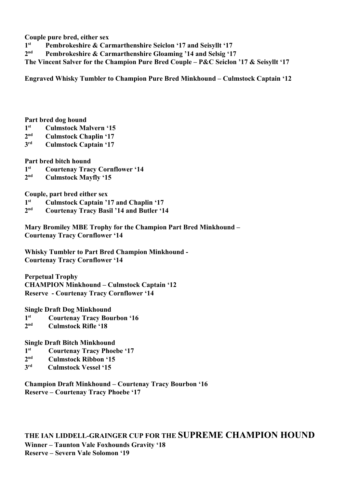**Couple pure bred, either sex**

- **1 st Pembrokeshire & Carmarthenshire Seiclon '17 and Seisyllt '17**
- **2** Pembrokeshire & Carmarthenshire Gloaming '14 and Selsig '17

**The Vincent Salver for the Champion Pure Bred Couple – P&C Seiclon '17 & Seisyllt '17**

**Engraved Whisky Tumbler to Champion Pure Bred Minkhound – Culmstock Captain '12**

**Part bred dog hound**

- **1 st Culmstock Malvern '15**
- **2 nd Culmstock Chaplin '17**
- **3 Culmstock Captain '17**

**Part bred bitch hound**

- **1 st Courtenay Tracy Cornflower '14**
- **2 nd Culmstock Mayfly '15**

**Couple, part bred either sex**

- **1 st Culmstock Captain '17 and Chaplin '17**
- $2<sub>n</sub>$ d **nd Courtenay Tracy Basil '14 and Butler '14**

**Mary Bromiley MBE Trophy for the Champion Part Bred Minkhound – Courtenay Tracy Cornflower '14**

**Whisky Tumbler to Part Bred Champion Minkhound - Courtenay Tracy Cornflower '14**

**Perpetual Trophy CHAMPION Minkhound – Culmstock Captain '12 Reserve - Courtenay Tracy Cornflower '14**

**Single Draft Dog Minkhound**

- **1 st Courtenay Tracy Bourbon '16**
- **2 nd Culmstock Rifle '18**

**Single Draft Bitch Minkhound**

- **1 st Courtenay Tracy Phoebe '17**
- **2 nd Culmstock Ribbon '15**
- **3 rd Culmstock Vessel '15**

**Champion Draft Minkhound – Courtenay Tracy Bourbon '16 Reserve – Courtenay Tracy Phoebe '17**

**THE IAN LIDDELL-GRAINGER CUP FOR THE SUPREME CHAMPION HOUND Winner – Taunton Vale Foxhounds Gravity '18 Reserve – Severn Vale Solomon '19**